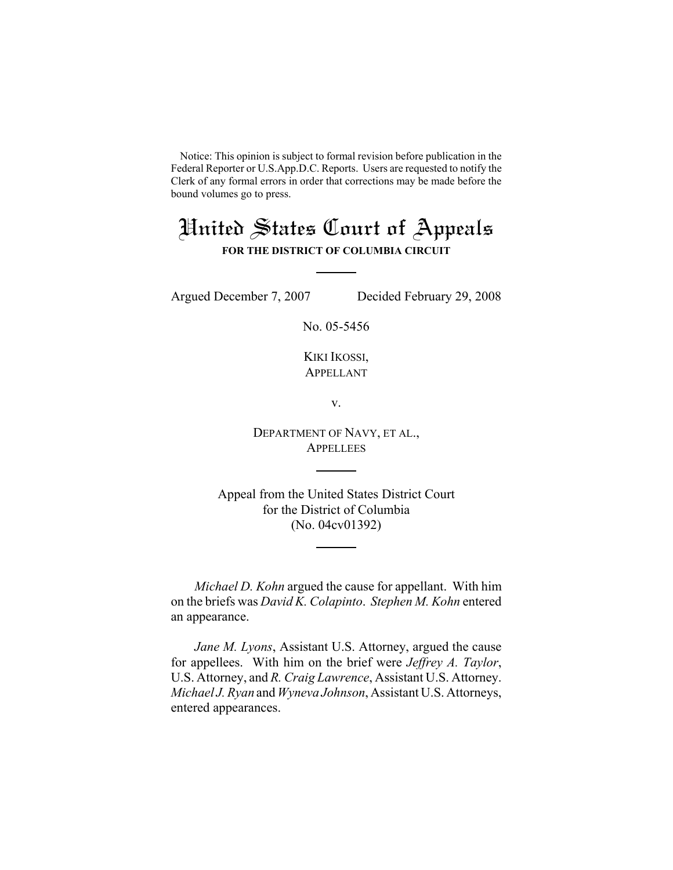Notice: This opinion is subject to formal revision before publication in the Federal Reporter or U.S.App.D.C. Reports. Users are requested to notify the Clerk of any formal errors in order that corrections may be made before the bound volumes go to press.

# United States Court of Appeals

**FOR THE DISTRICT OF COLUMBIA CIRCUIT**

Argued December 7, 2007 Decided February 29, 2008

No. 05-5456

KIKI IKOSSI, APPELLANT

v.

DEPARTMENT OF NAVY, ET AL., **APPELLEES** 

Appeal from the United States District Court for the District of Columbia (No. 04cv01392)

*Michael D. Kohn* argued the cause for appellant. With him on the briefs was *David K. Colapinto*. *Stephen M. Kohn* entered an appearance.

*Jane M. Lyons*, Assistant U.S. Attorney, argued the cause for appellees. With him on the brief were *Jeffrey A. Taylor*, U.S. Attorney, and *R. Craig Lawrence*, Assistant U.S. Attorney. *Michael J. Ryan* and *Wyneva Johnson*, Assistant U.S. Attorneys, entered appearances.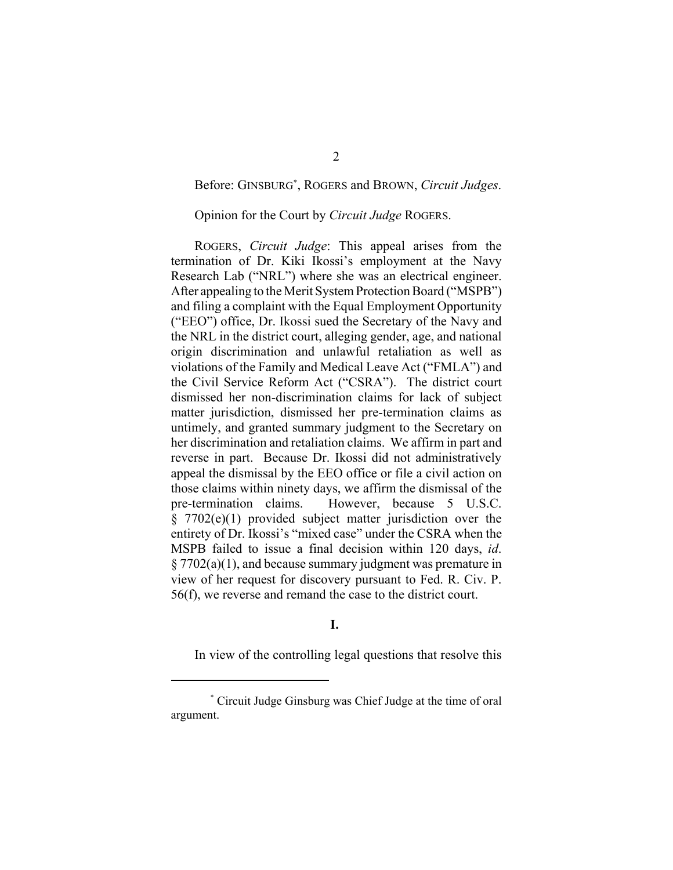## Before: GINSBURG\* , ROGERS and BROWN, *Circuit Judges*.

### Opinion for the Court by *Circuit Judge* ROGERS.

ROGERS, *Circuit Judge*: This appeal arises from the termination of Dr. Kiki Ikossi's employment at the Navy Research Lab ("NRL") where she was an electrical engineer. After appealing to the Merit System Protection Board ("MSPB") and filing a complaint with the Equal Employment Opportunity ("EEO") office, Dr. Ikossi sued the Secretary of the Navy and the NRL in the district court, alleging gender, age, and national origin discrimination and unlawful retaliation as well as violations of the Family and Medical Leave Act ("FMLA") and the Civil Service Reform Act ("CSRA"). The district court dismissed her non-discrimination claims for lack of subject matter jurisdiction, dismissed her pre-termination claims as untimely, and granted summary judgment to the Secretary on her discrimination and retaliation claims. We affirm in part and reverse in part. Because Dr. Ikossi did not administratively appeal the dismissal by the EEO office or file a civil action on those claims within ninety days, we affirm the dismissal of the pre-termination claims. However, because 5 U.S.C. § 7702(e)(1) provided subject matter jurisdiction over the entirety of Dr. Ikossi's "mixed case" under the CSRA when the MSPB failed to issue a final decision within 120 days, *id*. § 7702(a)(1), and because summary judgment was premature in view of her request for discovery pursuant to Fed. R. Civ. P. 56(f), we reverse and remand the case to the district court.

## **I.**

In view of the controlling legal questions that resolve this

<sup>\*</sup> Circuit Judge Ginsburg was Chief Judge at the time of oral argument.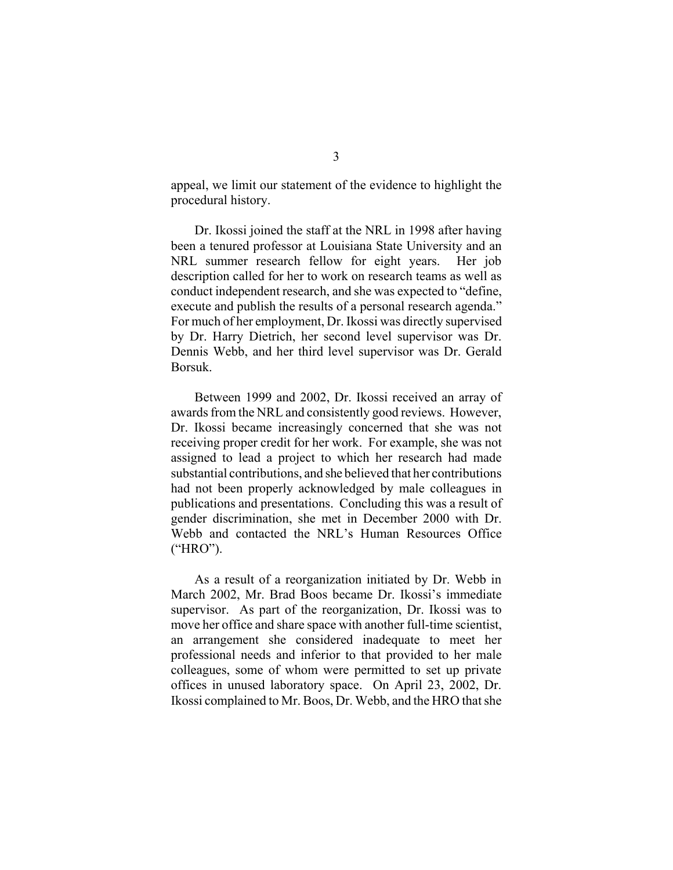appeal, we limit our statement of the evidence to highlight the procedural history.

Dr. Ikossi joined the staff at the NRL in 1998 after having been a tenured professor at Louisiana State University and an NRL summer research fellow for eight years. Her job description called for her to work on research teams as well as conduct independent research, and she was expected to "define, execute and publish the results of a personal research agenda." For much of her employment, Dr. Ikossi was directly supervised by Dr. Harry Dietrich, her second level supervisor was Dr. Dennis Webb, and her third level supervisor was Dr. Gerald Borsuk.

Between 1999 and 2002, Dr. Ikossi received an array of awards from the NRL and consistently good reviews. However, Dr. Ikossi became increasingly concerned that she was not receiving proper credit for her work. For example, she was not assigned to lead a project to which her research had made substantial contributions, and she believed that her contributions had not been properly acknowledged by male colleagues in publications and presentations. Concluding this was a result of gender discrimination, she met in December 2000 with Dr. Webb and contacted the NRL's Human Resources Office ("HRO").

As a result of a reorganization initiated by Dr. Webb in March 2002, Mr. Brad Boos became Dr. Ikossi's immediate supervisor. As part of the reorganization, Dr. Ikossi was to move her office and share space with another full-time scientist, an arrangement she considered inadequate to meet her professional needs and inferior to that provided to her male colleagues, some of whom were permitted to set up private offices in unused laboratory space. On April 23, 2002, Dr. Ikossi complained to Mr. Boos, Dr. Webb, and the HRO that she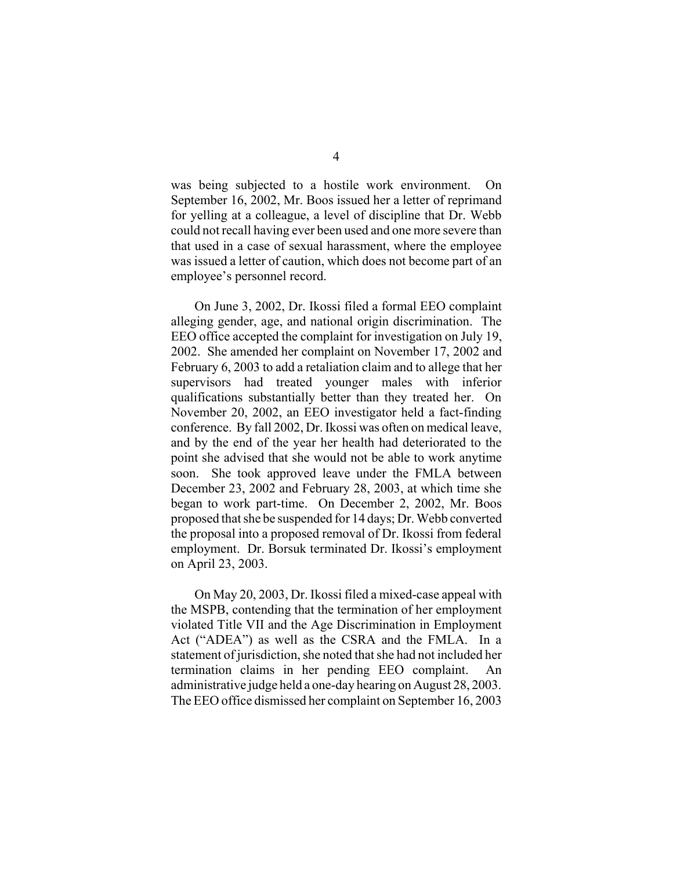was being subjected to a hostile work environment. On September 16, 2002, Mr. Boos issued her a letter of reprimand for yelling at a colleague, a level of discipline that Dr. Webb could not recall having ever been used and one more severe than that used in a case of sexual harassment, where the employee was issued a letter of caution, which does not become part of an employee's personnel record.

On June 3, 2002, Dr. Ikossi filed a formal EEO complaint alleging gender, age, and national origin discrimination. The EEO office accepted the complaint for investigation on July 19, 2002. She amended her complaint on November 17, 2002 and February 6, 2003 to add a retaliation claim and to allege that her supervisors had treated younger males with inferior qualifications substantially better than they treated her. On November 20, 2002, an EEO investigator held a fact-finding conference. By fall 2002, Dr. Ikossi was often on medical leave, and by the end of the year her health had deteriorated to the point she advised that she would not be able to work anytime soon. She took approved leave under the FMLA between December 23, 2002 and February 28, 2003, at which time she began to work part-time. On December 2, 2002, Mr. Boos proposed that she be suspended for 14 days; Dr. Webb converted the proposal into a proposed removal of Dr. Ikossi from federal employment. Dr. Borsuk terminated Dr. Ikossi's employment on April 23, 2003.

On May 20, 2003, Dr. Ikossi filed a mixed-case appeal with the MSPB, contending that the termination of her employment violated Title VII and the Age Discrimination in Employment Act ("ADEA") as well as the CSRA and the FMLA. In a statement of jurisdiction, she noted that she had not included her termination claims in her pending EEO complaint. An administrative judge held a one-day hearing on August 28, 2003. The EEO office dismissed her complaint on September 16, 2003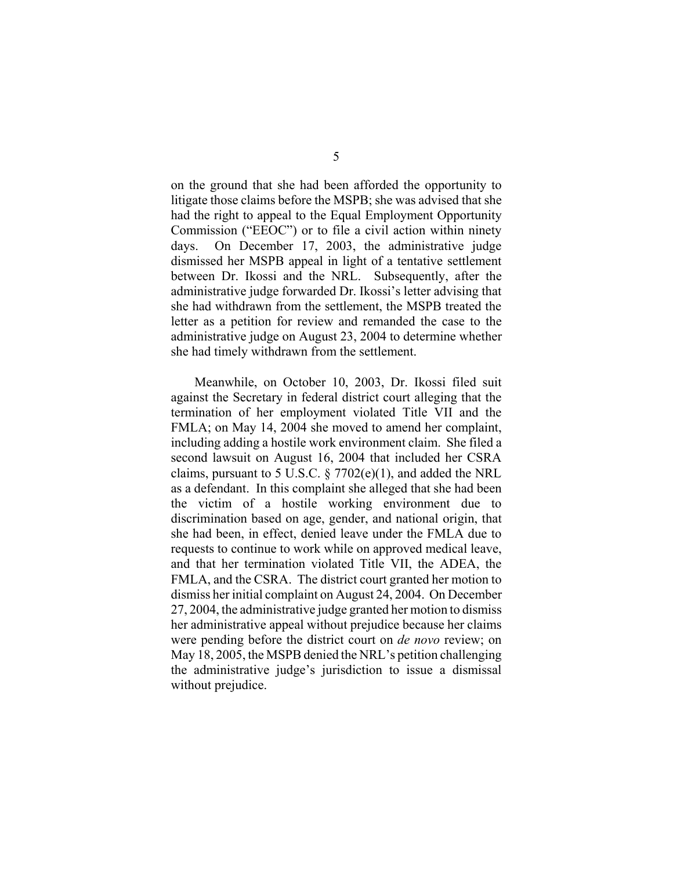on the ground that she had been afforded the opportunity to litigate those claims before the MSPB; she was advised that she had the right to appeal to the Equal Employment Opportunity Commission ("EEOC") or to file a civil action within ninety days. On December 17, 2003, the administrative judge dismissed her MSPB appeal in light of a tentative settlement between Dr. Ikossi and the NRL. Subsequently, after the administrative judge forwarded Dr. Ikossi's letter advising that she had withdrawn from the settlement, the MSPB treated the letter as a petition for review and remanded the case to the administrative judge on August 23, 2004 to determine whether she had timely withdrawn from the settlement.

Meanwhile, on October 10, 2003, Dr. Ikossi filed suit against the Secretary in federal district court alleging that the termination of her employment violated Title VII and the FMLA; on May 14, 2004 she moved to amend her complaint, including adding a hostile work environment claim. She filed a second lawsuit on August 16, 2004 that included her CSRA claims, pursuant to 5 U.S.C.  $\S$  7702(e)(1), and added the NRL as a defendant. In this complaint she alleged that she had been the victim of a hostile working environment due to discrimination based on age, gender, and national origin, that she had been, in effect, denied leave under the FMLA due to requests to continue to work while on approved medical leave, and that her termination violated Title VII, the ADEA, the FMLA, and the CSRA. The district court granted her motion to dismiss her initial complaint on August 24, 2004. On December 27, 2004, the administrative judge granted her motion to dismiss her administrative appeal without prejudice because her claims were pending before the district court on *de novo* review; on May 18, 2005, the MSPB denied the NRL's petition challenging the administrative judge's jurisdiction to issue a dismissal without prejudice.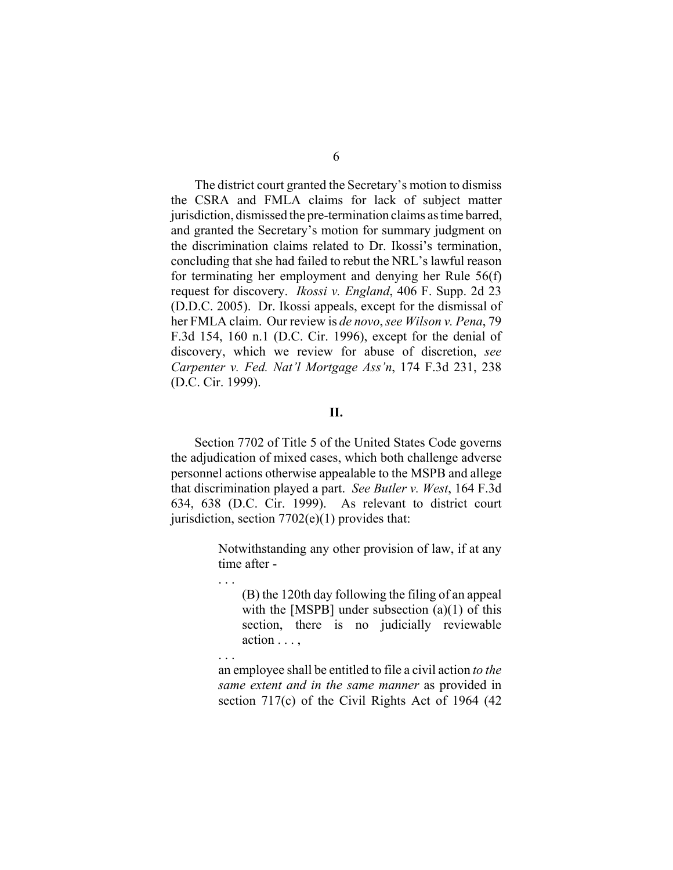The district court granted the Secretary's motion to dismiss the CSRA and FMLA claims for lack of subject matter jurisdiction, dismissed the pre-termination claims as time barred, and granted the Secretary's motion for summary judgment on the discrimination claims related to Dr. Ikossi's termination, concluding that she had failed to rebut the NRL's lawful reason for terminating her employment and denying her Rule 56(f) request for discovery. *Ikossi v. England*, 406 F. Supp. 2d 23 (D.D.C. 2005). Dr. Ikossi appeals, except for the dismissal of her FMLA claim. Our review is *de novo*, *see Wilson v. Pena*, 79 F.3d 154, 160 n.1 (D.C. Cir. 1996), except for the denial of discovery, which we review for abuse of discretion, *see Carpenter v. Fed. Nat'l Mortgage Ass'n*, 174 F.3d 231, 238 (D.C. Cir. 1999).

## **II.**

Section 7702 of Title 5 of the United States Code governs the adjudication of mixed cases, which both challenge adverse personnel actions otherwise appealable to the MSPB and allege that discrimination played a part. *See Butler v. West*, 164 F.3d 634, 638 (D.C. Cir. 1999). As relevant to district court jurisdiction, section  $7702(e)(1)$  provides that:

. . .

. . .

Notwithstanding any other provision of law, if at any time after -

(B) the 120th day following the filing of an appeal with the [MSPB] under subsection (a)(1) of this section, there is no judicially reviewable action . . . ,

an employee shall be entitled to file a civil action *to the same extent and in the same manner* as provided in section 717(c) of the Civil Rights Act of 1964 (42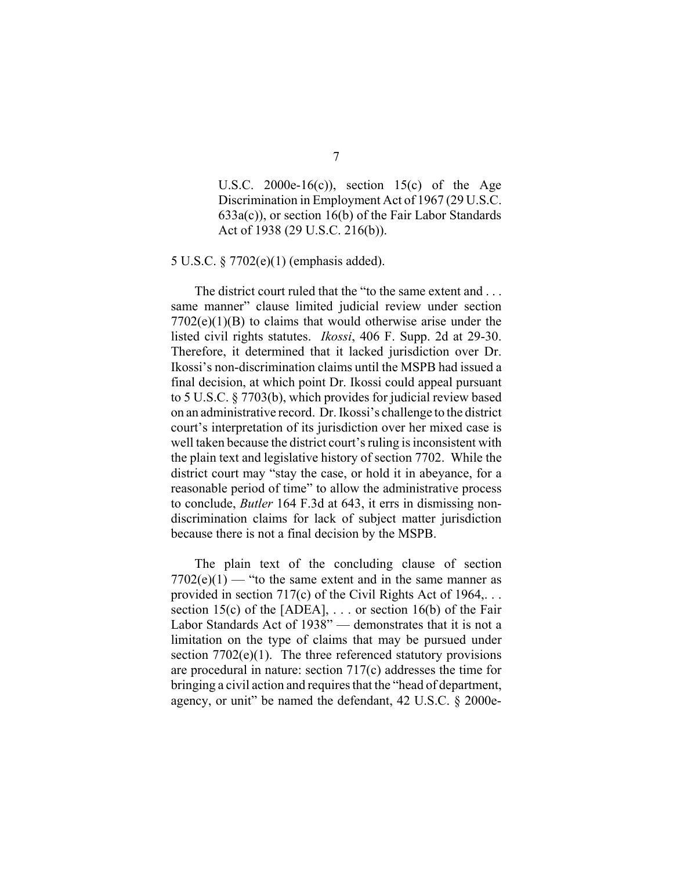U.S.C. 2000e-16(c)), section 15(c) of the Age Discrimination in Employment Act of 1967 (29 U.S.C. 633a(c)), or section 16(b) of the Fair Labor Standards Act of 1938 (29 U.S.C. 216(b)).

5 U.S.C. § 7702(e)(1) (emphasis added).

The district court ruled that the "to the same extent and . . . same manner" clause limited judicial review under section  $7702(e)(1)(B)$  to claims that would otherwise arise under the listed civil rights statutes. *Ikossi*, 406 F. Supp. 2d at 29-30. Therefore, it determined that it lacked jurisdiction over Dr. Ikossi's non-discrimination claims until the MSPB had issued a final decision, at which point Dr. Ikossi could appeal pursuant to 5 U.S.C. § 7703(b), which provides for judicial review based on an administrative record. Dr. Ikossi's challenge to the district court's interpretation of its jurisdiction over her mixed case is well taken because the district court's ruling is inconsistent with the plain text and legislative history of section 7702. While the district court may "stay the case, or hold it in abeyance, for a reasonable period of time" to allow the administrative process to conclude, *Butler* 164 F.3d at 643, it errs in dismissing nondiscrimination claims for lack of subject matter jurisdiction because there is not a final decision by the MSPB.

The plain text of the concluding clause of section  $7702(e)(1)$  — "to the same extent and in the same manner as provided in section 717(c) of the Civil Rights Act of 1964,... section 15(c) of the [ADEA],  $\ldots$  or section 16(b) of the Fair Labor Standards Act of 1938" — demonstrates that it is not a limitation on the type of claims that may be pursued under section  $7702(e)(1)$ . The three referenced statutory provisions are procedural in nature: section 717(c) addresses the time for bringing a civil action and requires that the "head of department, agency, or unit" be named the defendant, 42 U.S.C. § 2000e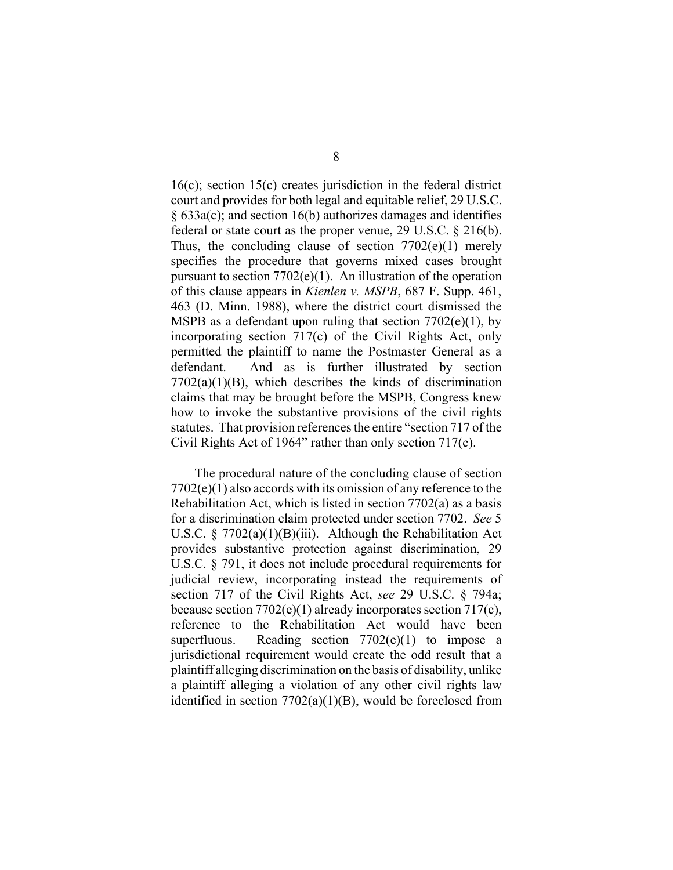16(c); section 15(c) creates jurisdiction in the federal district court and provides for both legal and equitable relief, 29 U.S.C. § 633a(c); and section 16(b) authorizes damages and identifies federal or state court as the proper venue, 29 U.S.C. § 216(b). Thus, the concluding clause of section  $7702(e)(1)$  merely specifies the procedure that governs mixed cases brought pursuant to section  $7702(e)(1)$ . An illustration of the operation of this clause appears in *Kienlen v. MSPB*, 687 F. Supp. 461, 463 (D. Minn. 1988), where the district court dismissed the MSPB as a defendant upon ruling that section  $7702(e)(1)$ , by incorporating section 717(c) of the Civil Rights Act, only permitted the plaintiff to name the Postmaster General as a defendant. And as is further illustrated by section  $7702(a)(1)(B)$ , which describes the kinds of discrimination claims that may be brought before the MSPB, Congress knew how to invoke the substantive provisions of the civil rights statutes. That provision references the entire "section 717 of the Civil Rights Act of 1964" rather than only section 717(c).

The procedural nature of the concluding clause of section 7702(e)(1) also accords with its omission of any reference to the Rehabilitation Act, which is listed in section 7702(a) as a basis for a discrimination claim protected under section 7702. *See* 5 U.S.C. § 7702(a)(1)(B)(iii). Although the Rehabilitation Act provides substantive protection against discrimination, 29 U.S.C. § 791, it does not include procedural requirements for judicial review, incorporating instead the requirements of section 717 of the Civil Rights Act, *see* 29 U.S.C. § 794a; because section 7702(e)(1) already incorporates section 717(c), reference to the Rehabilitation Act would have been superfluous. Reading section  $7702(e)(1)$  to impose a jurisdictional requirement would create the odd result that a plaintiff alleging discrimination on the basis of disability, unlike a plaintiff alleging a violation of any other civil rights law identified in section  $7702(a)(1)(B)$ , would be foreclosed from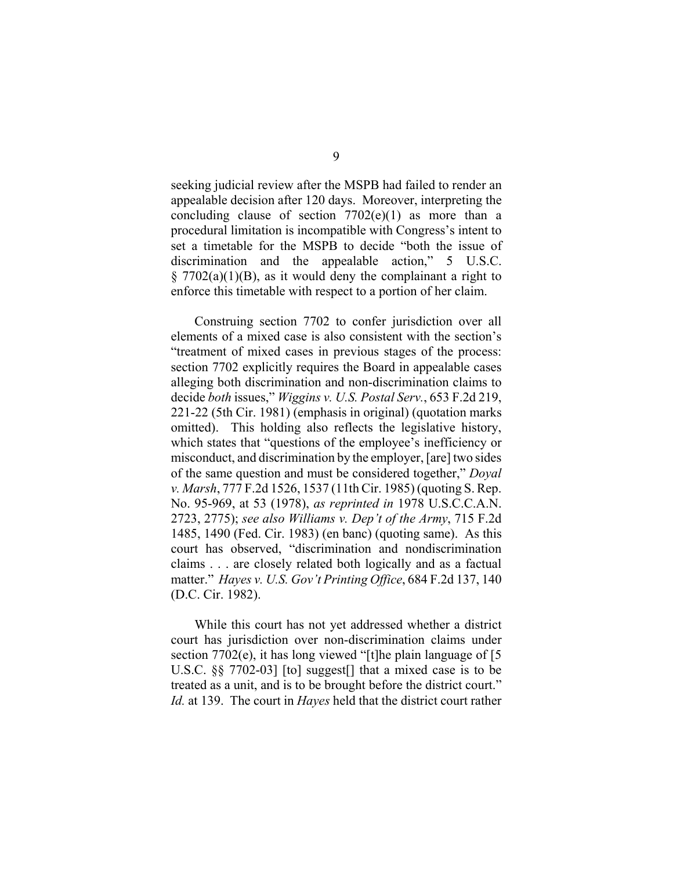seeking judicial review after the MSPB had failed to render an appealable decision after 120 days. Moreover, interpreting the concluding clause of section  $7702(e)(1)$  as more than a procedural limitation is incompatible with Congress's intent to set a timetable for the MSPB to decide "both the issue of discrimination and the appealable action," 5 U.S.C.  $\S$  7702(a)(1)(B), as it would deny the complainant a right to enforce this timetable with respect to a portion of her claim.

Construing section 7702 to confer jurisdiction over all elements of a mixed case is also consistent with the section's "treatment of mixed cases in previous stages of the process: section 7702 explicitly requires the Board in appealable cases alleging both discrimination and non-discrimination claims to decide *both* issues," *Wiggins v. U.S. Postal Serv.*, 653 F.2d 219, 221-22 (5th Cir. 1981) (emphasis in original) (quotation marks omitted). This holding also reflects the legislative history, which states that "questions of the employee's inefficiency or misconduct, and discrimination by the employer, [are] two sides of the same question and must be considered together," *Doyal v. Marsh*, 777 F.2d 1526, 1537 (11th Cir. 1985) (quoting S. Rep. No. 95-969, at 53 (1978), *as reprinted in* 1978 U.S.C.C.A.N. 2723, 2775); *see also Williams v. Dep't of the Army*, 715 F.2d 1485, 1490 (Fed. Cir. 1983) (en banc) (quoting same). As this court has observed, "discrimination and nondiscrimination claims . . . are closely related both logically and as a factual matter." *Hayes v. U.S. Gov't Printing Office*, 684 F.2d 137, 140 (D.C. Cir. 1982).

While this court has not yet addressed whether a district court has jurisdiction over non-discrimination claims under section 7702(e), it has long viewed "[t]he plain language of [5] U.S.C. §§ 7702-03] [to] suggest[] that a mixed case is to be treated as a unit, and is to be brought before the district court." *Id.* at 139. The court in *Hayes* held that the district court rather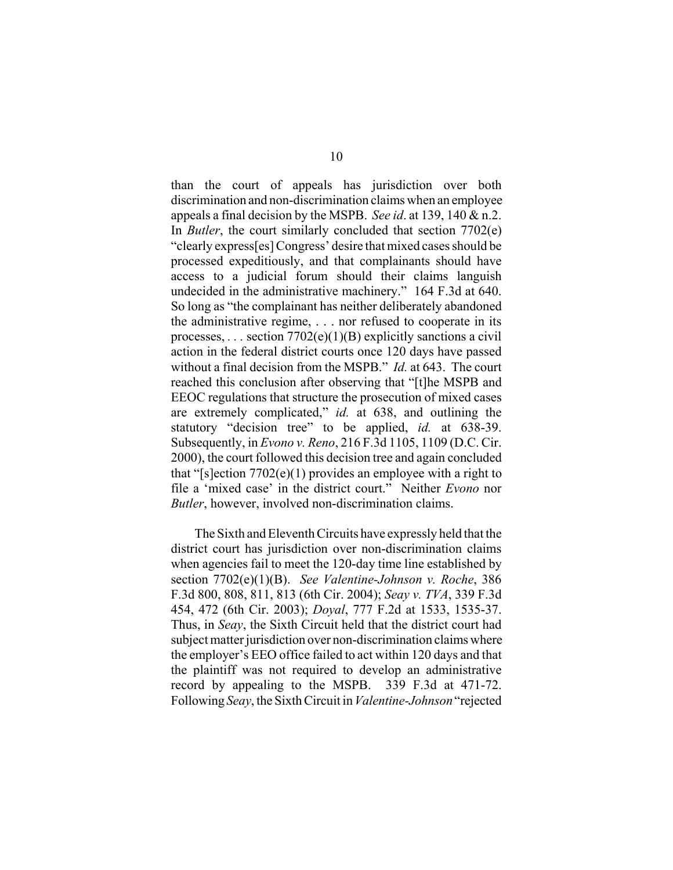than the court of appeals has jurisdiction over both discrimination and non-discrimination claims when an employee appeals a final decision by the MSPB. *See id*. at 139, 140 & n.2. In *Butler*, the court similarly concluded that section 7702(e) "clearly express[es] Congress' desire that mixed cases should be processed expeditiously, and that complainants should have access to a judicial forum should their claims languish undecided in the administrative machinery." 164 F.3d at 640. So long as "the complainant has neither deliberately abandoned the administrative regime, . . . nor refused to cooperate in its processes, *. . .* section 7702(e)(1)(B) explicitly sanctions a civil action in the federal district courts once 120 days have passed without a final decision from the MSPB." *Id.* at 643. The court reached this conclusion after observing that "[t]he MSPB and EEOC regulations that structure the prosecution of mixed cases are extremely complicated," *id.* at 638, and outlining the statutory "decision tree" to be applied, *id.* at 638-39. Subsequently, in *Evono v. Reno*, 216 F.3d 1105, 1109 (D.C. Cir. 2000), the court followed this decision tree and again concluded that "[s]ection  $7702(e)(1)$  provides an employee with a right to file a 'mixed case' in the district court." Neither *Evono* nor *Butler*, however, involved non-discrimination claims.

The Sixth and Eleventh Circuits have expressly held that the district court has jurisdiction over non-discrimination claims when agencies fail to meet the 120-day time line established by section 7702(e)(1)(B). *See Valentine-Johnson v. Roche*, 386 F.3d 800, 808, 811, 813 (6th Cir. 2004); *Seay v. TVA*, 339 F.3d 454, 472 (6th Cir. 2003); *Doyal*, 777 F.2d at 1533, 1535-37. Thus, in *Seay*, the Sixth Circuit held that the district court had subject matter jurisdiction over non-discrimination claims where the employer's EEO office failed to act within 120 days and that the plaintiff was not required to develop an administrative record by appealing to the MSPB. 339 F.3d at 471-72. Following *Seay*, the Sixth Circuit in *Valentine-Johnson* "rejected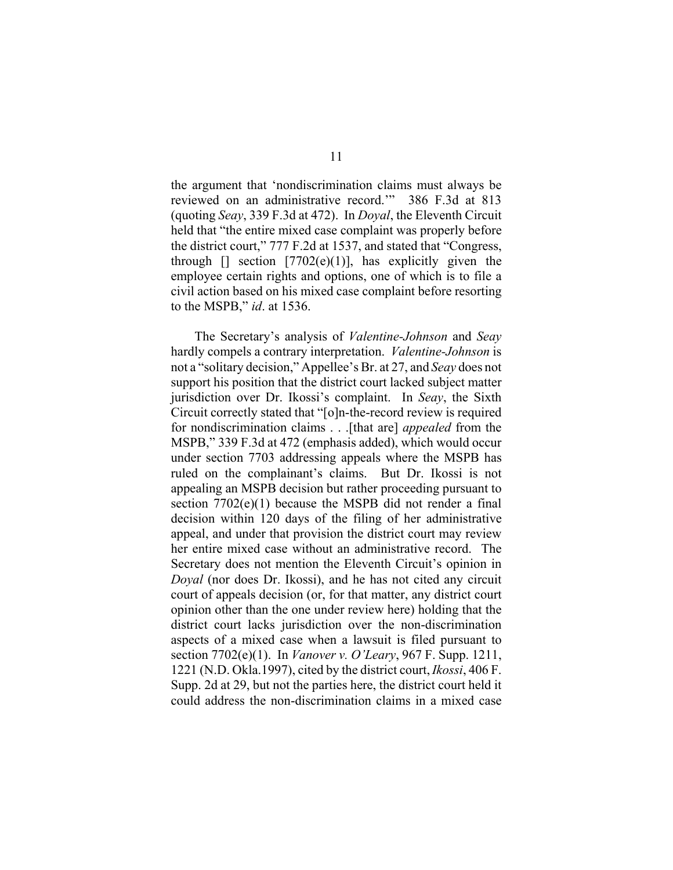the argument that 'nondiscrimination claims must always be reviewed on an administrative record.'" 386 F.3d at 813 (quoting *Seay*, 339 F.3d at 472). In *Doyal*, the Eleventh Circuit held that "the entire mixed case complaint was properly before the district court," 777 F.2d at 1537, and stated that "Congress, through  $\lceil$  section  $\lceil 7702(e)(1) \rceil$ , has explicitly given the employee certain rights and options, one of which is to file a civil action based on his mixed case complaint before resorting to the MSPB," *id*. at 1536.

The Secretary's analysis of *Valentine-Johnson* and *Seay* hardly compels a contrary interpretation. *Valentine-Johnson* is not a "solitary decision," Appellee's Br. at 27, and *Seay* does not support his position that the district court lacked subject matter jurisdiction over Dr. Ikossi's complaint. In *Seay*, the Sixth Circuit correctly stated that "[o]n-the-record review is required for nondiscrimination claims . . .[that are] *appealed* from the MSPB," 339 F.3d at 472 (emphasis added), which would occur under section 7703 addressing appeals where the MSPB has ruled on the complainant's claims. But Dr. Ikossi is not appealing an MSPB decision but rather proceeding pursuant to section 7702(e)(1) because the MSPB did not render a final decision within 120 days of the filing of her administrative appeal, and under that provision the district court may review her entire mixed case without an administrative record. The Secretary does not mention the Eleventh Circuit's opinion in *Doyal* (nor does Dr. Ikossi), and he has not cited any circuit court of appeals decision (or, for that matter, any district court opinion other than the one under review here) holding that the district court lacks jurisdiction over the non-discrimination aspects of a mixed case when a lawsuit is filed pursuant to section 7702(e)(1). In *Vanover v. O'Leary*, 967 F. Supp. 1211, 1221 (N.D. Okla.1997), cited by the district court, *Ikossi*, 406 F. Supp. 2d at 29, but not the parties here, the district court held it could address the non-discrimination claims in a mixed case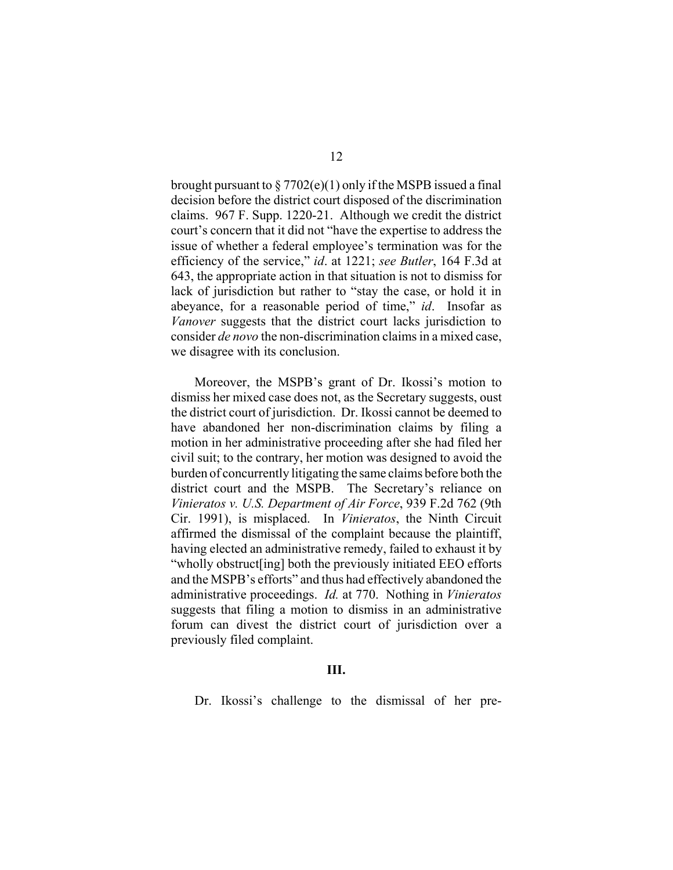brought pursuant to  $\S 7702(e)(1)$  only if the MSPB issued a final decision before the district court disposed of the discrimination claims. 967 F. Supp. 1220-21. Although we credit the district court's concern that it did not "have the expertise to address the issue of whether a federal employee's termination was for the efficiency of the service," *id*. at 1221; *see Butler*, 164 F.3d at 643, the appropriate action in that situation is not to dismiss for lack of jurisdiction but rather to "stay the case, or hold it in abeyance, for a reasonable period of time," *id*. Insofar as *Vanover* suggests that the district court lacks jurisdiction to consider *de novo* the non-discrimination claims in a mixed case, we disagree with its conclusion.

Moreover, the MSPB's grant of Dr. Ikossi's motion to dismiss her mixed case does not, as the Secretary suggests, oust the district court of jurisdiction. Dr. Ikossi cannot be deemed to have abandoned her non-discrimination claims by filing a motion in her administrative proceeding after she had filed her civil suit; to the contrary, her motion was designed to avoid the burden of concurrently litigating the same claims before both the district court and the MSPB. The Secretary's reliance on *Vinieratos v. U.S. Department of Air Force*, 939 F.2d 762 (9th Cir. 1991), is misplaced. In *Vinieratos*, the Ninth Circuit affirmed the dismissal of the complaint because the plaintiff, having elected an administrative remedy, failed to exhaust it by "wholly obstruct[ing] both the previously initiated EEO efforts and the MSPB's efforts" and thus had effectively abandoned the administrative proceedings. *Id.* at 770. Nothing in *Vinieratos* suggests that filing a motion to dismiss in an administrative forum can divest the district court of jurisdiction over a previously filed complaint.

## **III.**

Dr. Ikossi's challenge to the dismissal of her pre-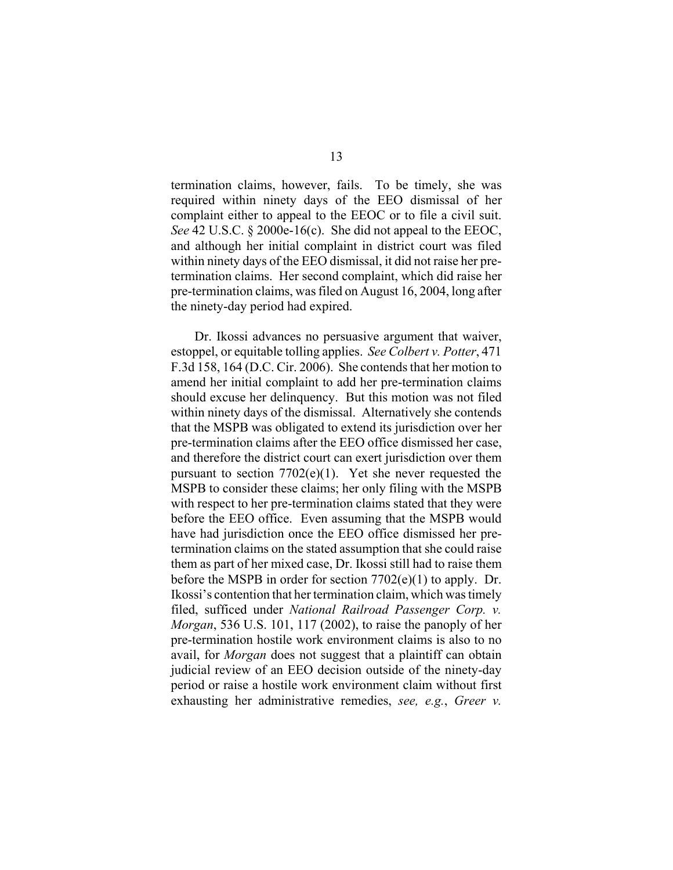termination claims, however, fails. To be timely, she was required within ninety days of the EEO dismissal of her complaint either to appeal to the EEOC or to file a civil suit. *See* 42 U.S.C. § 2000e-16(c). She did not appeal to the EEOC, and although her initial complaint in district court was filed within ninety days of the EEO dismissal, it did not raise her pretermination claims. Her second complaint, which did raise her pre-termination claims, was filed on August 16, 2004, long after the ninety-day period had expired.

Dr. Ikossi advances no persuasive argument that waiver, estoppel, or equitable tolling applies. *See Colbert v. Potter*, 471 F.3d 158, 164 (D.C. Cir. 2006). She contends that her motion to amend her initial complaint to add her pre-termination claims should excuse her delinquency. But this motion was not filed within ninety days of the dismissal. Alternatively she contends that the MSPB was obligated to extend its jurisdiction over her pre-termination claims after the EEO office dismissed her case, and therefore the district court can exert jurisdiction over them pursuant to section  $7702(e)(1)$ . Yet she never requested the MSPB to consider these claims; her only filing with the MSPB with respect to her pre-termination claims stated that they were before the EEO office. Even assuming that the MSPB would have had jurisdiction once the EEO office dismissed her pretermination claims on the stated assumption that she could raise them as part of her mixed case, Dr. Ikossi still had to raise them before the MSPB in order for section 7702(e)(1) to apply. Dr. Ikossi's contention that her termination claim, which was timely filed, sufficed under *National Railroad Passenger Corp. v. Morgan*, 536 U.S. 101, 117 (2002), to raise the panoply of her pre-termination hostile work environment claims is also to no avail, for *Morgan* does not suggest that a plaintiff can obtain judicial review of an EEO decision outside of the ninety-day period or raise a hostile work environment claim without first exhausting her administrative remedies, *see, e.g.*, *Greer v.*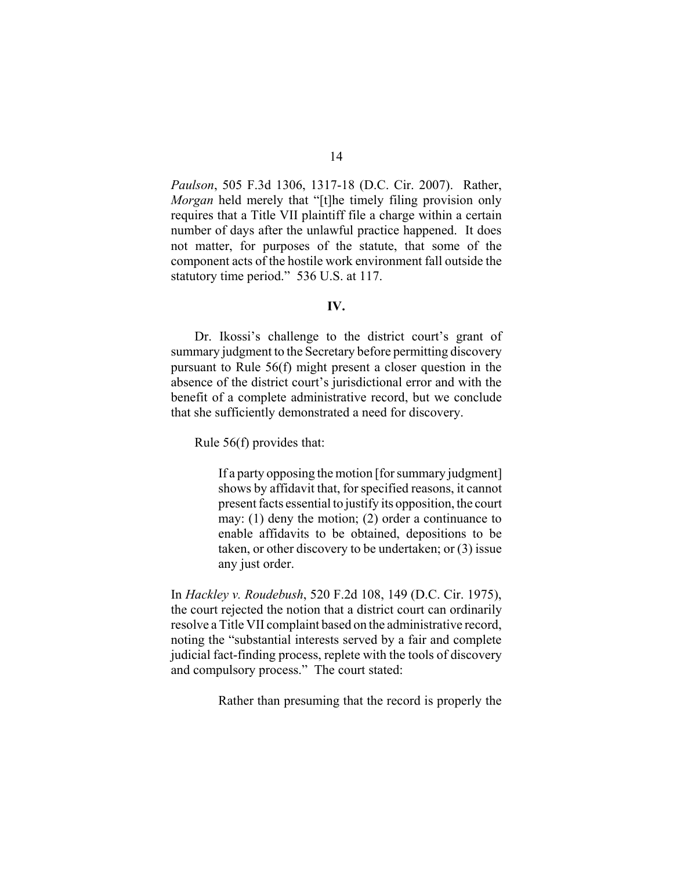*Paulson*, 505 F.3d 1306, 1317-18 (D.C. Cir. 2007). Rather, *Morgan* held merely that "[t]he timely filing provision only requires that a Title VII plaintiff file a charge within a certain number of days after the unlawful practice happened. It does not matter, for purposes of the statute, that some of the component acts of the hostile work environment fall outside the statutory time period." 536 U.S. at 117.

### **IV.**

Dr. Ikossi's challenge to the district court's grant of summary judgment to the Secretary before permitting discovery pursuant to Rule 56(f) might present a closer question in the absence of the district court's jurisdictional error and with the benefit of a complete administrative record, but we conclude that she sufficiently demonstrated a need for discovery.

Rule 56(f) provides that:

If a party opposing the motion [for summary judgment] shows by affidavit that, for specified reasons, it cannot present facts essential to justify its opposition, the court may: (1) deny the motion; (2) order a continuance to enable affidavits to be obtained, depositions to be taken, or other discovery to be undertaken; or (3) issue any just order.

In *Hackley v. Roudebush*, 520 F.2d 108, 149 (D.C. Cir. 1975), the court rejected the notion that a district court can ordinarily resolve a Title VII complaint based on the administrative record, noting the "substantial interests served by a fair and complete judicial fact-finding process, replete with the tools of discovery and compulsory process." The court stated:

Rather than presuming that the record is properly the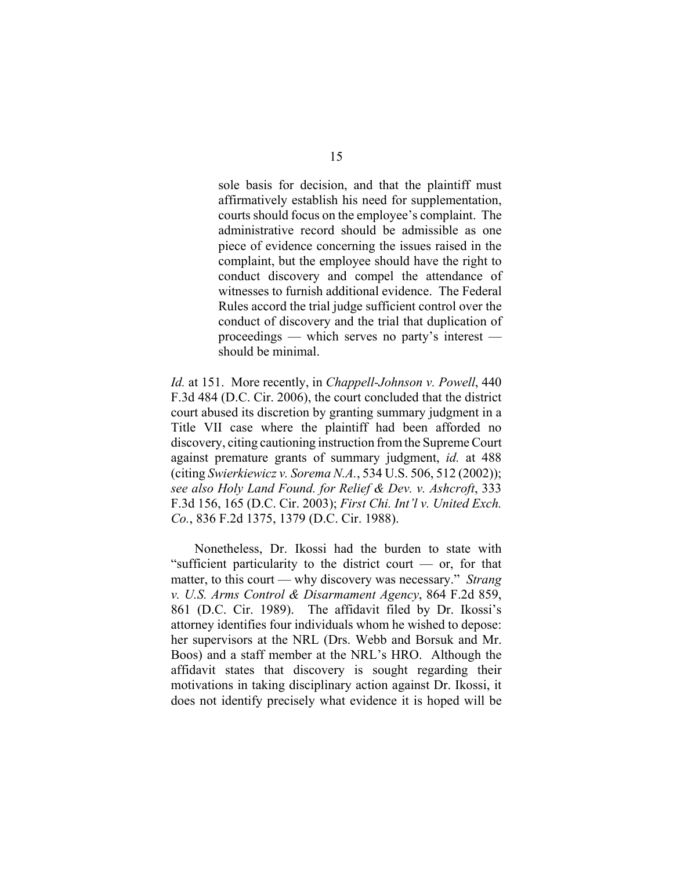sole basis for decision, and that the plaintiff must affirmatively establish his need for supplementation, courts should focus on the employee's complaint. The administrative record should be admissible as one piece of evidence concerning the issues raised in the complaint, but the employee should have the right to conduct discovery and compel the attendance of witnesses to furnish additional evidence. The Federal Rules accord the trial judge sufficient control over the conduct of discovery and the trial that duplication of proceedings — which serves no party's interest should be minimal.

*Id.* at 151. More recently, in *Chappell-Johnson v. Powell*, 440 F.3d 484 (D.C. Cir. 2006), the court concluded that the district court abused its discretion by granting summary judgment in a Title VII case where the plaintiff had been afforded no discovery, citing cautioning instruction from the Supreme Court against premature grants of summary judgment, *id.* at 488 (citing *Swierkiewicz v. Sorema N.A.*, 534 U.S. 506, 512 (2002)); *see also Holy Land Found. for Relief & Dev. v. Ashcroft*, 333 F.3d 156, 165 (D.C. Cir. 2003); *First Chi. Int'l v. United Exch. Co.*, 836 F.2d 1375, 1379 (D.C. Cir. 1988).

Nonetheless, Dr. Ikossi had the burden to state with "sufficient particularity to the district court — or, for that matter, to this court — why discovery was necessary." *Strang v. U.S. Arms Control & Disarmament Agency*, 864 F.2d 859, 861 (D.C. Cir. 1989). The affidavit filed by Dr. Ikossi's attorney identifies four individuals whom he wished to depose: her supervisors at the NRL (Drs. Webb and Borsuk and Mr. Boos) and a staff member at the NRL's HRO. Although the affidavit states that discovery is sought regarding their motivations in taking disciplinary action against Dr. Ikossi, it does not identify precisely what evidence it is hoped will be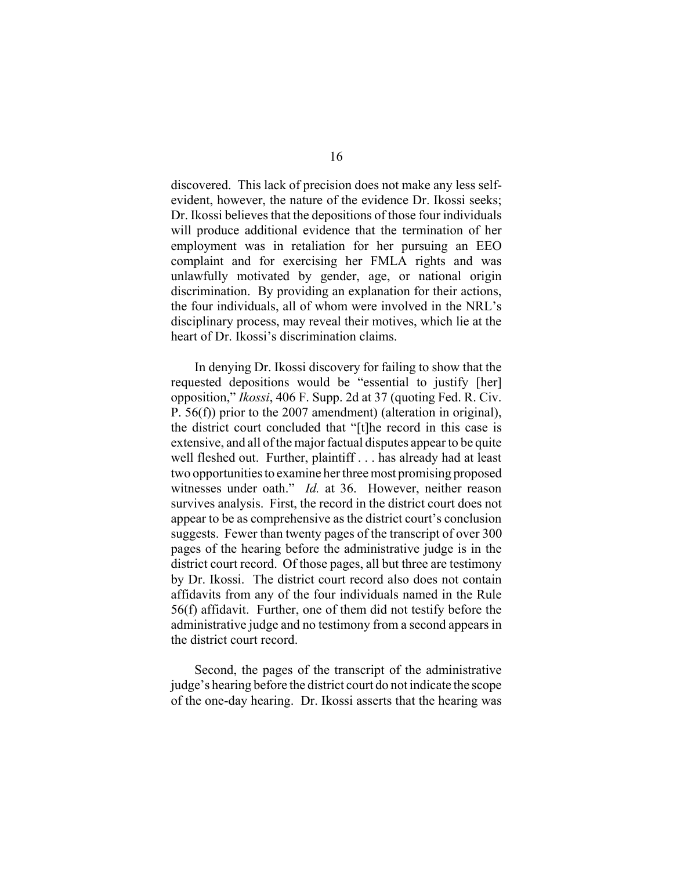discovered. This lack of precision does not make any less selfevident, however, the nature of the evidence Dr. Ikossi seeks; Dr. Ikossi believes that the depositions of those four individuals will produce additional evidence that the termination of her employment was in retaliation for her pursuing an EEO complaint and for exercising her FMLA rights and was unlawfully motivated by gender, age, or national origin discrimination. By providing an explanation for their actions, the four individuals, all of whom were involved in the NRL's disciplinary process, may reveal their motives, which lie at the heart of Dr. Ikossi's discrimination claims.

In denying Dr. Ikossi discovery for failing to show that the requested depositions would be "essential to justify [her] opposition," *Ikossi*, 406 F. Supp. 2d at 37 (quoting Fed. R. Civ. P. 56(f)) prior to the 2007 amendment) (alteration in original), the district court concluded that "[t]he record in this case is extensive, and all of the major factual disputes appear to be quite well fleshed out. Further, plaintiff . . . has already had at least two opportunities to examine her three most promising proposed witnesses under oath." *Id.* at 36. However, neither reason survives analysis. First, the record in the district court does not appear to be as comprehensive as the district court's conclusion suggests. Fewer than twenty pages of the transcript of over 300 pages of the hearing before the administrative judge is in the district court record. Of those pages, all but three are testimony by Dr. Ikossi. The district court record also does not contain affidavits from any of the four individuals named in the Rule 56(f) affidavit. Further, one of them did not testify before the administrative judge and no testimony from a second appears in the district court record.

Second, the pages of the transcript of the administrative judge's hearing before the district court do not indicate the scope of the one-day hearing. Dr. Ikossi asserts that the hearing was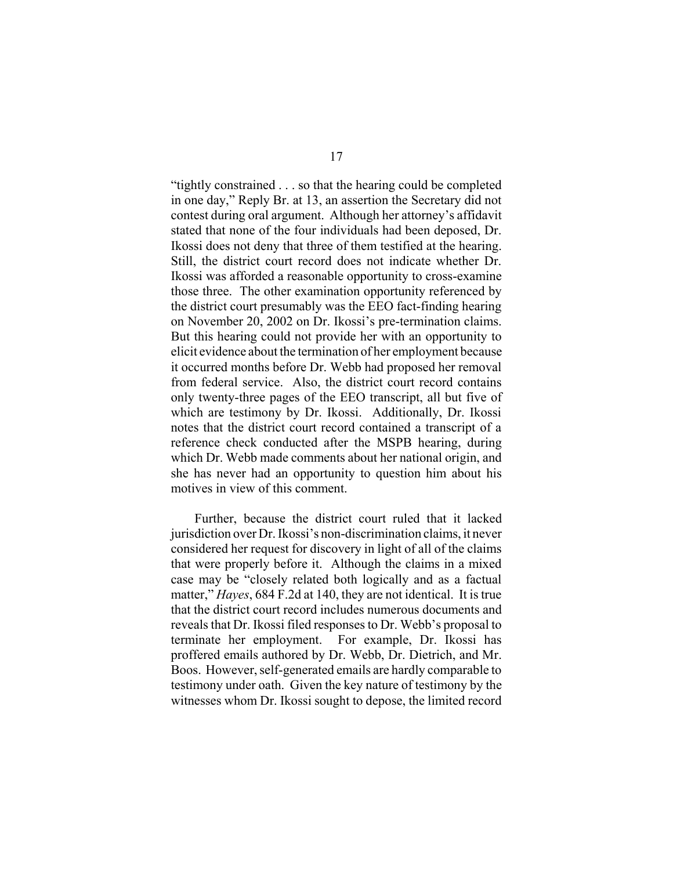"tightly constrained . . . so that the hearing could be completed in one day," Reply Br. at 13, an assertion the Secretary did not contest during oral argument. Although her attorney's affidavit stated that none of the four individuals had been deposed, Dr. Ikossi does not deny that three of them testified at the hearing. Still, the district court record does not indicate whether Dr. Ikossi was afforded a reasonable opportunity to cross-examine those three. The other examination opportunity referenced by the district court presumably was the EEO fact-finding hearing on November 20, 2002 on Dr. Ikossi's pre-termination claims. But this hearing could not provide her with an opportunity to elicit evidence about the termination of her employment because it occurred months before Dr. Webb had proposed her removal from federal service. Also, the district court record contains only twenty-three pages of the EEO transcript, all but five of which are testimony by Dr. Ikossi. Additionally, Dr. Ikossi notes that the district court record contained a transcript of a reference check conducted after the MSPB hearing, during which Dr. Webb made comments about her national origin, and she has never had an opportunity to question him about his motives in view of this comment.

Further, because the district court ruled that it lacked jurisdiction over Dr. Ikossi's non-discrimination claims, it never considered her request for discovery in light of all of the claims that were properly before it. Although the claims in a mixed case may be "closely related both logically and as a factual matter," *Hayes*, 684 F.2d at 140, they are not identical. It is true that the district court record includes numerous documents and reveals that Dr. Ikossi filed responses to Dr. Webb's proposal to terminate her employment. For example, Dr. Ikossi has proffered emails authored by Dr. Webb, Dr. Dietrich, and Mr. Boos. However, self-generated emails are hardly comparable to testimony under oath. Given the key nature of testimony by the witnesses whom Dr. Ikossi sought to depose, the limited record